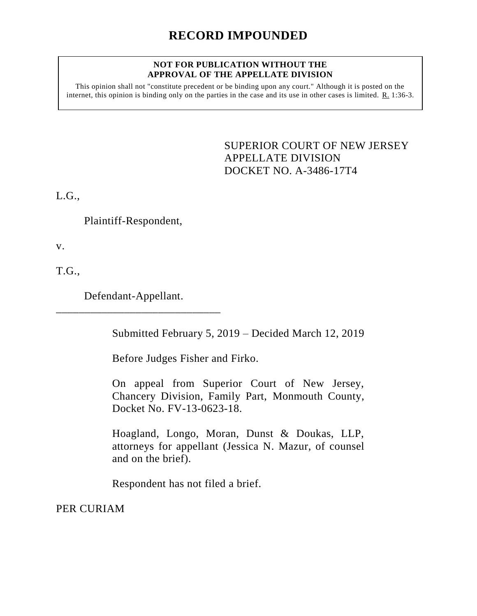### **NOT FOR PUBLICATION WITHOUT THE APPROVAL OF THE APPELLATE DIVISION**

This opinion shall not "constitute precedent or be binding upon any court." Although it is posted on the internet, this opinion is binding only on the parties in the case and its use in other cases is limited. R. 1:36-3.

> <span id="page-0-0"></span>SUPERIOR COURT OF NEW JERSEY APPELLATE DIVISION DOCKET NO. A-3486-17T4

L.G.,

Plaintiff-Respondent,

v.

T.G.,

Defendant-Appellant. \_\_\_\_\_\_\_\_\_\_\_\_\_\_\_\_\_\_\_\_\_\_\_\_\_\_\_\_\_

Submitted February 5, 2019 – Decided March 12, 2019

Before Judges Fisher and Firko.

On appeal from Superior Court of New Jersey, Chancery Division, Family Part, Monmouth County, Docket No. FV-13-0623-18.

Hoagland, Longo, Moran, Dunst & Doukas, LLP, attorneys for appellant (Jessica N. Mazur, of counsel and on the brief).

Respondent has not filed a brief.

PER CURIAM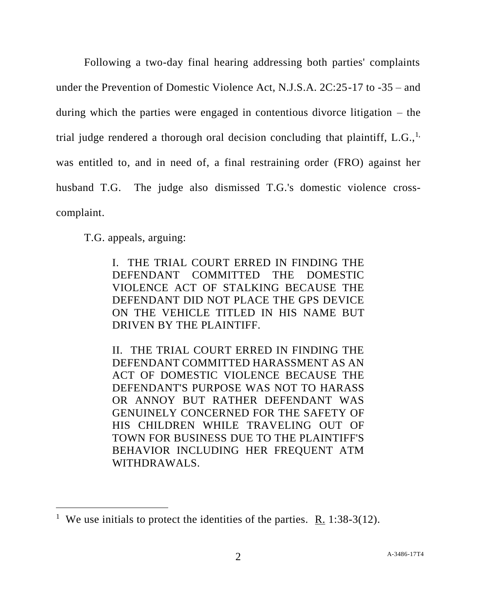Following a two-day final hearing addressing both parties' complaints under the Prevention of Domestic Violence Act, N.J.S.A. 2C:25-17 to -35 – and during which the parties were engaged in contentious divorce litigation – the trial judge rendered a thorough oral decision concluding that plaintiff, L.G., $<sup>1</sup>$ ,</sup> was entitled to, and in need of, a final restraining order (FRO) against her husband T.G. The judge also dismissed T.G.'s domestic violence crosscomplaint.

T.G. appeals, arguing:

l

I. THE TRIAL COURT ERRED IN FINDING THE DEFENDANT COMMITTED THE DOMESTIC VIOLENCE ACT OF STALKING BECAUSE THE DEFENDANT DID NOT PLACE THE GPS DEVICE ON THE VEHICLE TITLED IN HIS NAME BUT DRIVEN BY THE PLAINTIFF.

II. THE TRIAL COURT ERRED IN FINDING THE DEFENDANT COMMITTED HARASSMENT AS AN ACT OF DOMESTIC VIOLENCE BECAUSE THE DEFENDANT'S PURPOSE WAS NOT TO HARASS OR ANNOY BUT RATHER DEFENDANT WAS GENUINELY CONCERNED FOR THE SAFETY OF HIS CHILDREN WHILE TRAVELING OUT OF TOWN FOR BUSINESS DUE TO THE PLAINTIFF'S BEHAVIOR INCLUDING HER FREQUENT ATM WITHDRAWALS.

<sup>&</sup>lt;sup>1</sup> We use initials to protect the identities of the parties. <u>R.</u> 1:38-3(12).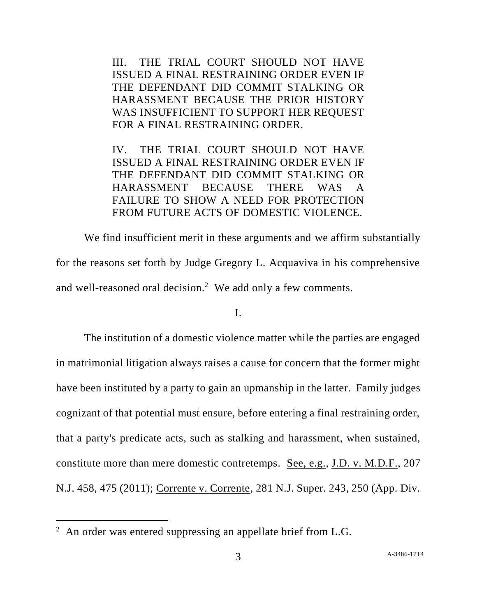III. THE TRIAL COURT SHOULD NOT HAVE ISSUED A FINAL RESTRAINING ORDER EVEN IF THE DEFENDANT DID COMMIT STALKING OR HARASSMENT BECAUSE THE PRIOR HISTORY WAS INSUFFICIENT TO SUPPORT HER REQUEST FOR A FINAL RESTRAINING ORDER.

IV. THE TRIAL COURT SHOULD NOT HAVE ISSUED A FINAL RESTRAINING ORDER EVEN IF THE DEFENDANT DID COMMIT STALKING OR HARASSMENT BECAUSE THERE WAS A FAILURE TO SHOW A NEED FOR PROTECTION FROM FUTURE ACTS OF DOMESTIC VIOLENCE.

We find insufficient merit in these arguments and we affirm substantially for the reasons set forth by Judge Gregory L. Acquaviva in his comprehensive and well-reasoned oral decision.<sup>2</sup> We add only a few comments.

### I.

The institution of a domestic violence matter while the parties are engaged in matrimonial litigation always raises a cause for concern that the former might have been instituted by a party to gain an upmanship in the latter. Family judges cognizant of that potential must ensure, before entering a final restraining order, that a party's predicate acts, such as stalking and harassment, when sustained, constitute more than mere domestic contretemps. See, e.g., J.D. v. M.D.F., 207 N.J. 458, 475 (2011); Corrente v. Corrente, 281 N.J. Super. 243, 250 (App. Div.

 $\overline{a}$ 

 $2$  An order was entered suppressing an appellate brief from L.G.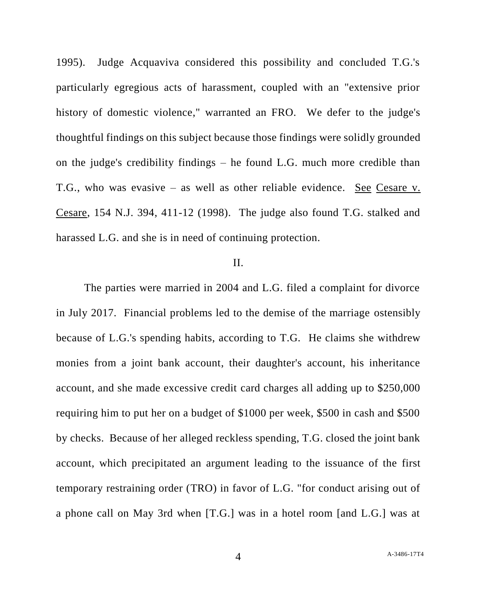1995). Judge Acquaviva considered this possibility and concluded T.G.'s particularly egregious acts of harassment, coupled with an "extensive prior history of domestic violence," warranted an FRO. We defer to the judge's thoughtful findings on this subject because those findings were solidly grounded on the judge's credibility findings – he found L.G. much more credible than T.G., who was evasive – as well as other reliable evidence. See Cesare v. Cesare, 154 N.J. 394, 411-12 (1998). The judge also found T.G. stalked and harassed L.G. and she is in need of continuing protection.

## II.

The parties were married in 2004 and L.G. filed a complaint for divorce in July 2017. Financial problems led to the demise of the marriage ostensibly because of L.G.'s spending habits, according to T.G. He claims she withdrew monies from a joint bank account, their daughter's account, his inheritance account, and she made excessive credit card charges all adding up to \$250,000 requiring him to put her on a budget of \$1000 per week, \$500 in cash and \$500 by checks. Because of her alleged reckless spending, T.G. closed the joint bank account, which precipitated an argument leading to the issuance of the first temporary restraining order (TRO) in favor of L.G. "for conduct arising out of a phone call on May 3rd when [T.G.] was in a hotel room [and L.G.] was at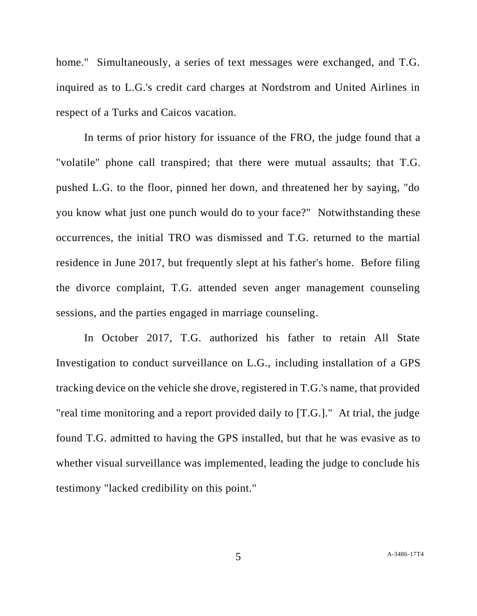home." Simultaneously, a series of text messages were exchanged, and T.G. inquired as to L.G.'s credit card charges at Nordstrom and United Airlines in respect of a Turks and Caicos vacation.

In terms of prior history for issuance of the FRO, the judge found that a "volatile" phone call transpired; that there were mutual assaults; that T.G. pushed L.G. to the floor, pinned her down, and threatened her by saying, "do you know what just one punch would do to your face?" Notwithstanding these occurrences, the initial TRO was dismissed and T.G. returned to the martial residence in June 2017, but frequently slept at his father's home. Before filing the divorce complaint, T.G. attended seven anger management counseling sessions, and the parties engaged in marriage counseling.

In October 2017, T.G. authorized his father to retain All State Investigation to conduct surveillance on L.G., including installation of a GPS tracking device on the vehicle she drove, registered in T.G.'s name, that provided "real time monitoring and a report provided daily to [T.G.]." At trial, the judge found T.G. admitted to having the GPS installed, but that he was evasive as to whether visual surveillance was implemented, leading the judge to conclude his testimony "lacked credibility on this point."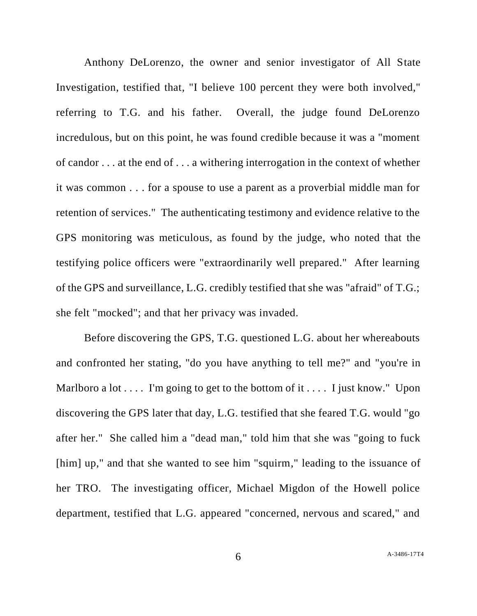Anthony DeLorenzo, the owner and senior investigator of All State Investigation, testified that, "I believe 100 percent they were both involved," referring to T.G. and his father. Overall, the judge found DeLorenzo incredulous, but on this point, he was found credible because it was a "moment of candor . . . at the end of . . . a withering interrogation in the context of whether it was common . . . for a spouse to use a parent as a proverbial middle man for retention of services." The authenticating testimony and evidence relative to the GPS monitoring was meticulous, as found by the judge, who noted that the testifying police officers were "extraordinarily well prepared." After learning of the GPS and surveillance, L.G. credibly testified that she was "afraid" of T.G.; she felt "mocked"; and that her privacy was invaded.

Before discovering the GPS, T.G. questioned L.G. about her whereabouts and confronted her stating, "do you have anything to tell me?" and "you're in Marlboro a lot  $\dots$ . I'm going to get to the bottom of it  $\dots$ . I just know." Upon discovering the GPS later that day, L.G. testified that she feared T.G. would "go after her." She called him a "dead man," told him that she was "going to fuck [him] up," and that she wanted to see him "squirm," leading to the issuance of her TRO. The investigating officer, Michael Migdon of the Howell police department, testified that L.G. appeared "concerned, nervous and scared," and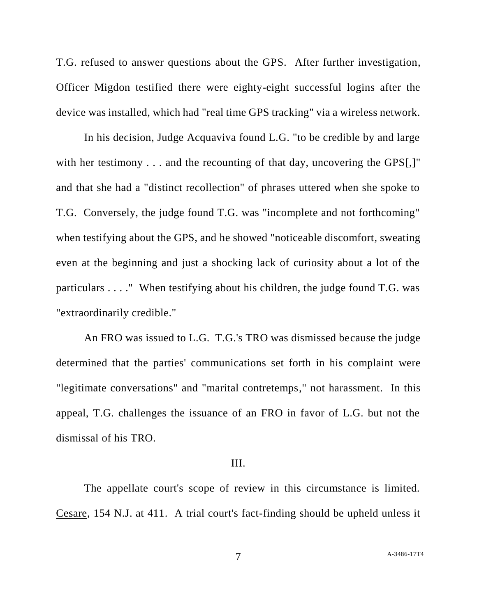T.G. refused to answer questions about the GPS. After further investigation, Officer Migdon testified there were eighty-eight successful logins after the device was installed, which had "real time GPS tracking" via a wireless network.

In his decision, Judge Acquaviva found L.G. "to be credible by and large with her testimony . . . and the recounting of that day, uncovering the GPS[,]" and that she had a "distinct recollection" of phrases uttered when she spoke to T.G. Conversely, the judge found T.G. was "incomplete and not forthcoming" when testifying about the GPS, and he showed "noticeable discomfort, sweating even at the beginning and just a shocking lack of curiosity about a lot of the particulars . . . ." When testifying about his children, the judge found T.G. was "extraordinarily credible."

An FRO was issued to L.G. T.G.'s TRO was dismissed because the judge determined that the parties' communications set forth in his complaint were "legitimate conversations" and "marital contretemps," not harassment. In this appeal, T.G. challenges the issuance of an FRO in favor of L.G. but not the dismissal of his TRO.

## III.

The appellate court's scope of review in this circumstance is limited. Cesare, 154 N.J. at 411. A trial court's fact-finding should be upheld unless it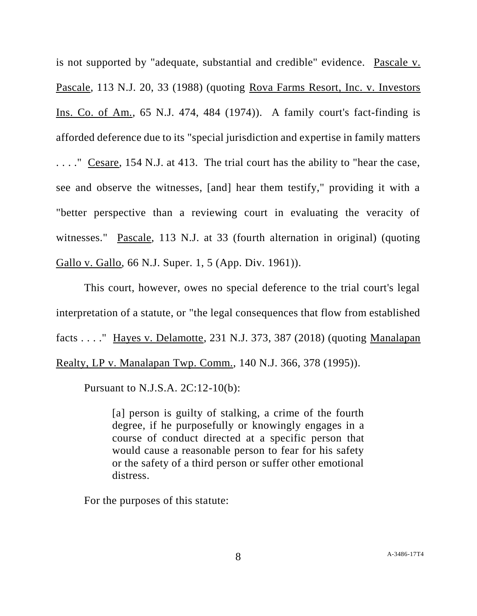is not supported by "adequate, substantial and credible" evidence. Pascale v. Pascale, 113 N.J. 20, 33 (1988) (quoting Rova Farms Resort, Inc. v. Investors Ins. Co. of Am., 65 N.J. 474, 484 (1974)). A family court's fact-finding is afforded deference due to its "special jurisdiction and expertise in family matters . . . ." Cesare, 154 N.J. at 413. The trial court has the ability to "hear the case, see and observe the witnesses, [and] hear them testify," providing it with a "better perspective than a reviewing court in evaluating the veracity of witnesses." Pascale, 113 N.J. at 33 (fourth alternation in original) (quoting Gallo v. Gallo, 66 N.J. Super. 1, 5 (App. Div. 1961)).

This court, however, owes no special deference to the trial court's legal interpretation of a statute, or "the legal consequences that flow from established facts . . . ." Hayes v. Delamotte, 231 N.J. 373, 387 (2018) (quoting Manalapan Realty, LP v. Manalapan Twp. Comm., 140 N.J. 366, 378 (1995)).

Pursuant to N.J.S.A. 2C:12-10(b):

[a] person is guilty of stalking, a crime of the fourth degree, if he purposefully or knowingly engages in a course of conduct directed at a specific person that would cause a reasonable person to fear for his safety or the safety of a third person or suffer other emotional distress.

For the purposes of this statute: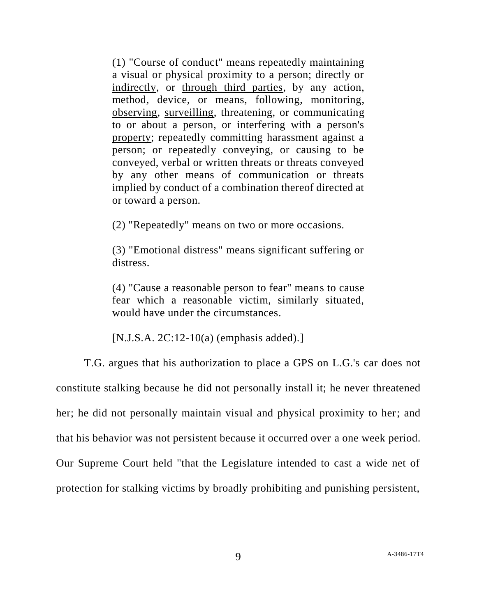(1) "Course of conduct" means repeatedly maintaining a visual or physical proximity to a person; directly or indirectly, or through third parties, by any action, method, device, or means, following, monitoring, observing, surveilling, threatening, or communicating to or about a person, or interfering with a person's property; repeatedly committing harassment against a person; or repeatedly conveying, or causing to be conveyed, verbal or written threats or threats conveyed by any other means of communication or threats implied by conduct of a combination thereof directed at or toward a person.

(2) "Repeatedly" means on two or more occasions.

(3) "Emotional distress" means significant suffering or distress.

(4) "Cause a reasonable person to fear" means to cause fear which a reasonable victim, similarly situated, would have under the circumstances.

[N.J.S.A. 2C:12-10(a) (emphasis added).]

T.G. argues that his authorization to place a GPS on L.G.'s car does not constitute stalking because he did not personally install it; he never threatened her; he did not personally maintain visual and physical proximity to her; and that his behavior was not persistent because it occurred over a one week period. Our Supreme Court held "that the Legislature intended to cast a wide net of protection for stalking victims by broadly prohibiting and punishing persistent,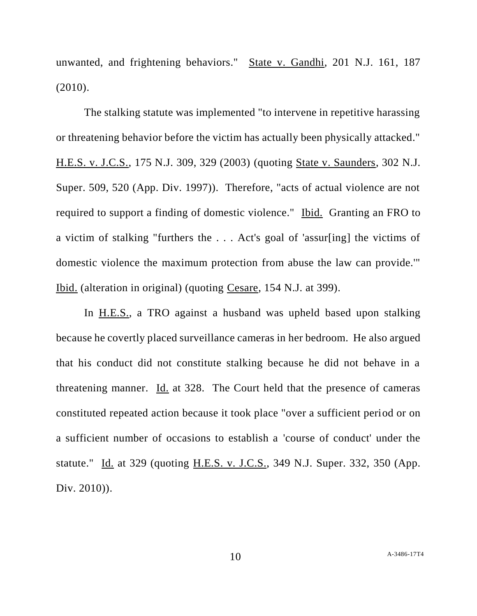unwanted, and frightening behaviors." State v. Gandhi, 201 N.J. 161, 187 (2010).

The stalking statute was implemented "to intervene in repetitive harassing or threatening behavior before the victim has actually been physically attacked." H.E.S. v. J.C.S., 175 N.J. 309, 329 (2003) (quoting State v. Saunders, 302 N.J. Super. 509, 520 (App. Div. 1997)). Therefore, "acts of actual violence are not required to support a finding of domestic violence." Ibid. Granting an FRO to a victim of stalking "furthers the . . . Act's goal of 'assur[ing] the victims of domestic violence the maximum protection from abuse the law can provide.'" Ibid. (alteration in original) (quoting Cesare, 154 N.J. at 399).

In H.E.S., a TRO against a husband was upheld based upon stalking because he covertly placed surveillance cameras in her bedroom. He also argued that his conduct did not constitute stalking because he did not behave in a threatening manner. Id. at 328. The Court held that the presence of cameras constituted repeated action because it took place "over a sufficient period or on a sufficient number of occasions to establish a 'course of conduct' under the statute." Id. at 329 (quoting H.E.S. v. J.C.S., 349 N.J. Super. 332, 350 (App. Div. 2010)).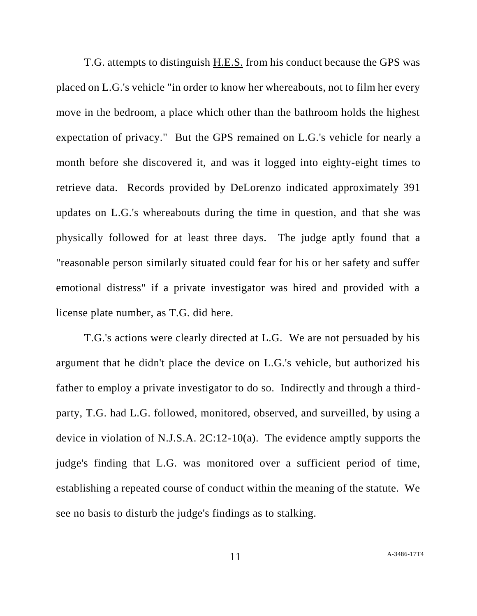T.G. attempts to distinguish H.E.S. from his conduct because the GPS was placed on L.G.'s vehicle "in order to know her whereabouts, not to film her every move in the bedroom, a place which other than the bathroom holds the highest expectation of privacy." But the GPS remained on L.G.'s vehicle for nearly a month before she discovered it, and was it logged into eighty-eight times to retrieve data. Records provided by DeLorenzo indicated approximately 391 updates on L.G.'s whereabouts during the time in question, and that she was physically followed for at least three days. The judge aptly found that a "reasonable person similarly situated could fear for his or her safety and suffer emotional distress" if a private investigator was hired and provided with a license plate number, as T.G. did here.

T.G.'s actions were clearly directed at L.G. We are not persuaded by his argument that he didn't place the device on L.G.'s vehicle, but authorized his father to employ a private investigator to do so. Indirectly and through a thirdparty, T.G. had L.G. followed, monitored, observed, and surveilled, by using a device in violation of N.J.S.A. 2C:12-10(a). The evidence amptly supports the judge's finding that L.G. was monitored over a sufficient period of time, establishing a repeated course of conduct within the meaning of the statute. We see no basis to disturb the judge's findings as to stalking.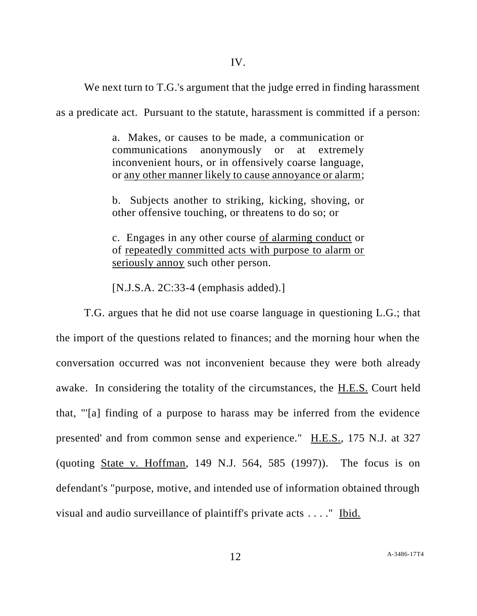We next turn to T.G.'s argument that the judge erred in finding harassment

as a predicate act. Pursuant to the statute, harassment is committed if a person:

a. Makes, or causes to be made, a communication or communications anonymously or at extremely inconvenient hours, or in offensively coarse language, or any other manner likely to cause annoyance or alarm;

b. Subjects another to striking, kicking, shoving, or other offensive touching, or threatens to do so; or

c. Engages in any other course of alarming conduct or of repeatedly committed acts with purpose to alarm or seriously annoy such other person.

[N.J.S.A. 2C:33-4 (emphasis added).]

T.G. argues that he did not use coarse language in questioning L.G.; that the import of the questions related to finances; and the morning hour when the conversation occurred was not inconvenient because they were both already awake. In considering the totality of the circumstances, the H.E.S. Court held that, "'[a] finding of a purpose to harass may be inferred from the evidence presented' and from common sense and experience." H.E.S., 175 N.J. at 327 (quoting State v. Hoffman, 149 N.J. 564, 585 (1997)). The focus is on defendant's "purpose, motive, and intended use of information obtained through visual and audio surveillance of plaintiff's private acts . . . ." Ibid.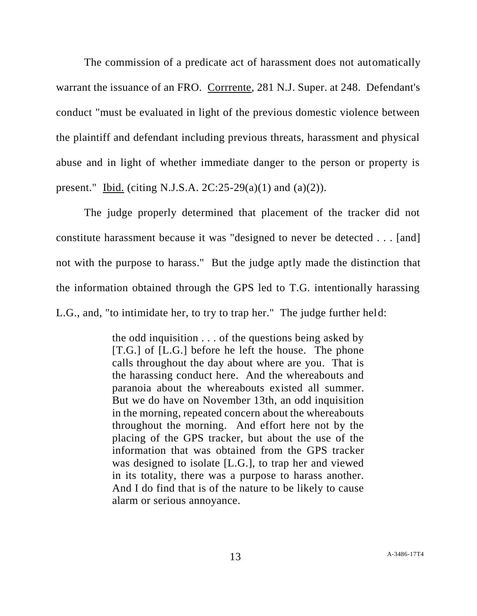The commission of a predicate act of harassment does not automatically warrant the issuance of an FRO. Corrrente, 281 N.J. Super. at 248. Defendant's conduct "must be evaluated in light of the previous domestic violence between the plaintiff and defendant including previous threats, harassment and physical abuse and in light of whether immediate danger to the person or property is present." Ibid. (citing N.J.S.A.  $2C:25-29(a)(1)$  and  $(a)(2)$ ).

The judge properly determined that placement of the tracker did not constitute harassment because it was "designed to never be detected . . . [and] not with the purpose to harass." But the judge aptly made the distinction that the information obtained through the GPS led to T.G. intentionally harassing L.G., and, "to intimidate her, to try to trap her." The judge further held:

> the odd inquisition . . . of the questions being asked by [T.G.] of [L.G.] before he left the house. The phone calls throughout the day about where are you. That is the harassing conduct here. And the whereabouts and paranoia about the whereabouts existed all summer. But we do have on November 13th, an odd inquisition in the morning, repeated concern about the whereabouts throughout the morning. And effort here not by the placing of the GPS tracker, but about the use of the information that was obtained from the GPS tracker was designed to isolate [L.G.], to trap her and viewed in its totality, there was a purpose to harass another. And I do find that is of the nature to be likely to cause alarm or serious annoyance.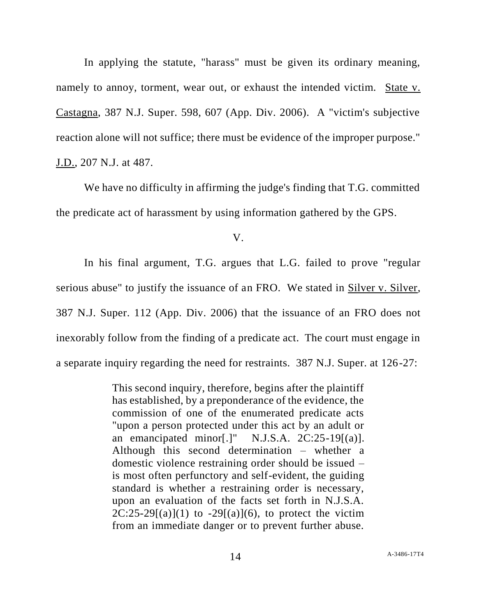In applying the statute, "harass" must be given its ordinary meaning, namely to annoy, torment, wear out, or exhaust the intended victim. State v. Castagna, 387 N.J. Super. 598, 607 (App. Div. 2006). A "victim's subjective reaction alone will not suffice; there must be evidence of the improper purpose." J.D., 207 N.J. at 487.

We have no difficulty in affirming the judge's finding that T.G. committed the predicate act of harassment by using information gathered by the GPS.

V.

In his final argument, T.G. argues that L.G. failed to prove "regular serious abuse" to justify the issuance of an FRO. We stated in Silver v. Silver, 387 N.J. Super. 112 (App. Div. 2006) that the issuance of an FRO does not inexorably follow from the finding of a predicate act. The court must engage in a separate inquiry regarding the need for restraints. 387 N.J. Super. at 126-27:

> This second inquiry, therefore, begins after the plaintiff has established, by a preponderance of the evidence, the commission of one of the enumerated predicate acts "upon a person protected under this act by an adult or an emancipated minor[.]" N.J.S.A. 2C:25-19[(a)]. Although this second determination – whether a domestic violence restraining order should be issued – is most often perfunctory and self-evident, the guiding standard is whether a restraining order is necessary, upon an evaluation of the facts set forth in N.J.S.A.  $2C:25-29[(a)](1)$  to  $-29[(a)](6)$ , to protect the victim from an immediate danger or to prevent further abuse.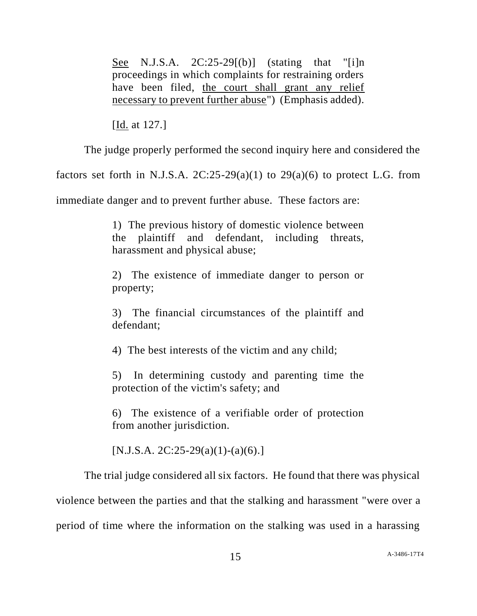See N.J.S.A.  $2C:25-29(6)$  (stating that "[i]n proceedings in which complaints for restraining orders have been filed, the court shall grant any relief necessary to prevent further abuse") (Emphasis added).

[Id. at 127.]

The judge properly performed the second inquiry here and considered the

factors set forth in N.J.S.A.  $2C:25-29(a)(1)$  to  $29(a)(6)$  to protect L.G. from

immediate danger and to prevent further abuse. These factors are:

1) The previous history of domestic violence between the plaintiff and defendant, including threats, harassment and physical abuse;

2) The existence of immediate danger to person or property;

3) The financial circumstances of the plaintiff and defendant;

4) The best interests of the victim and any child;

5) In determining custody and parenting time the protection of the victim's safety; and

6) The existence of a verifiable order of protection from another jurisdiction.

 $[N.J.S.A. 2C:25-29(a)(1)-(a)(6).]$ 

The trial judge considered all six factors. He found that there was physical violence between the parties and that the stalking and harassment "were over a period of time where the information on the stalking was used in a harassing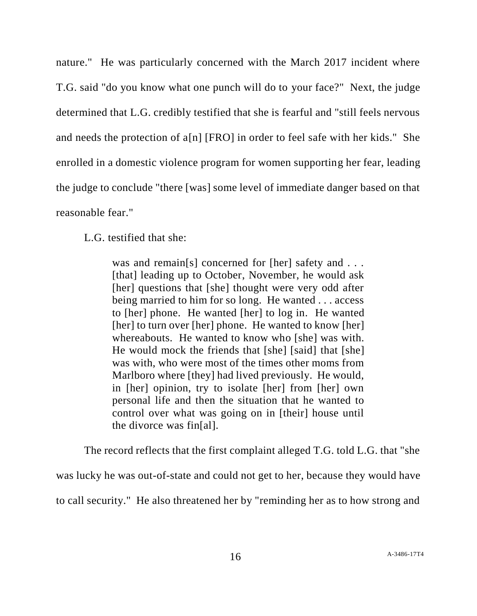nature." He was particularly concerned with the March 2017 incident where T.G. said "do you know what one punch will do to your face?" Next, the judge determined that L.G. credibly testified that she is fearful and "still feels nervous and needs the protection of a[n] [FRO] in order to feel safe with her kids." She enrolled in a domestic violence program for women supporting her fear, leading the judge to conclude "there [was] some level of immediate danger based on that reasonable fear."

# L.G. testified that she:

was and remain[s] concerned for [her] safety and . . . [that] leading up to October, November, he would ask [her] questions that [she] thought were very odd after being married to him for so long. He wanted . . . access to [her] phone. He wanted [her] to log in. He wanted [her] to turn over [her] phone. He wanted to know [her] whereabouts. He wanted to know who [she] was with. He would mock the friends that [she] [said] that [she] was with, who were most of the times other moms from Marlboro where [they] had lived previously. He would, in [her] opinion, try to isolate [her] from [her] own personal life and then the situation that he wanted to control over what was going on in [their] house until the divorce was fin[al].

The record reflects that the first complaint alleged T.G. told L.G. that "she

was lucky he was out-of-state and could not get to her, because they would have

to call security." He also threatened her by "reminding her as to how strong and